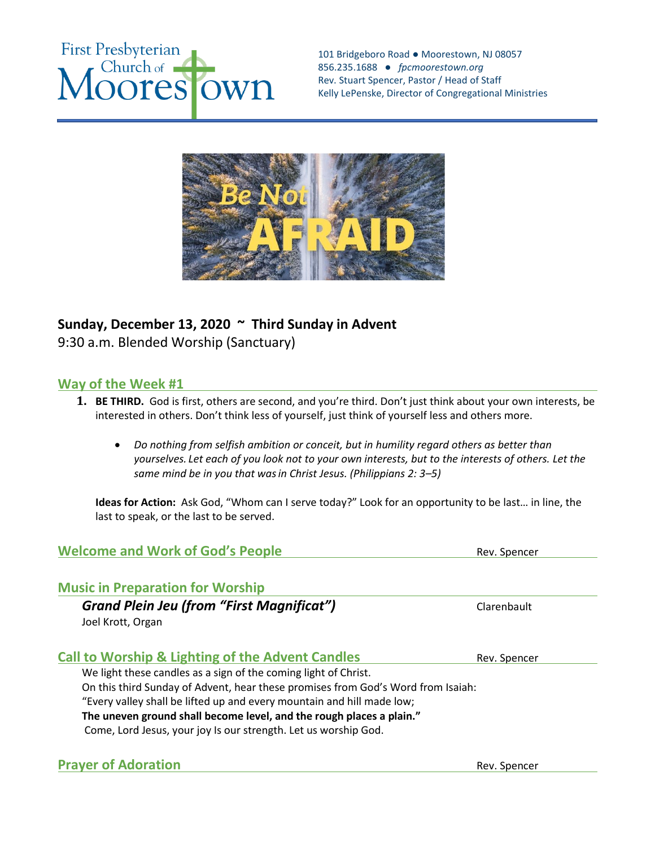

101 Bridgeboro Road ● Moorestown, NJ 08057 856.235.1688 *● fpcmoorestown.org*  Rev. Stuart Spencer, Pastor / Head of Staff Kelly LePenske, Director of Congregational Ministries



# **Sunday, December 13, 2020 ~ Third Sunday in Advent**

9:30 a.m. Blended Worship (Sanctuary)

# **Way of the Week #1**

- **1. BE THIRD.** God is first, others are second, and you're third. Don't just think about your own interests, be interested in others. Don't think less of yourself, just think of yourself less and others more.
	- *Do nothing from selfish ambition or conceit, but in humility regard others as better than yourselves. Let each of you look not to your own interests, but to the interests of others. Let the same mind be in you that wasin Christ Jesus. (Philippians 2: 3–5)*

**Ideas for Action:** Ask God, "Whom can I serve today?" Look for an opportunity to be last… in line, the last to speak, or the last to be served.

# **Welcome and Work of God's People** Rev. Spencer

## **Music in Preparation for Worship**

**Grand Plein Jeu (from "First Magnificat")** Clarenbault Joel Krott, Organ

# **Call to Worship & Lighting of the Advent Candles** Rev. Spencer

We light these candles as a sign of the coming light of Christ.

On this third Sunday of Advent, hear these promises from God's Word from Isaiah:

"Every valley shall be lifted up and every mountain and hill made low;

**The uneven ground shall become level, and the rough places a plain."**

Come, Lord Jesus, your joy Is our strength. Let us worship God.

## **Prayer of Adoration CONSERVING CONSERVATION Rev. Spencer**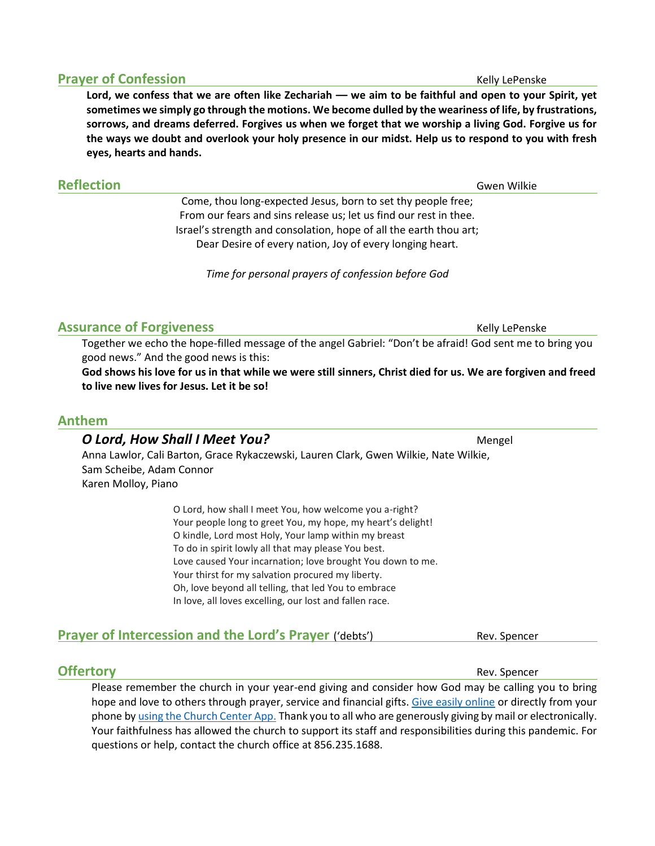**Lord, we confess that we are often like Zechariah –– we aim to be faithful and open to your Spirit, yet sometimes we simply go through the motions. We become dulled by the weariness of life, by frustrations, sorrows, and dreams deferred. Forgives us when we forget that we worship a living God. Forgive us for the ways we doubt and overlook your holy presence in our midst. Help us to respond to you with fresh eyes, hearts and hands.**

## **Reflection** Gwen Wilkie

Come, thou long-expected Jesus, born to set thy people free; From our fears and sins release us; let us find our rest in thee. Israel's strength and consolation, hope of all the earth thou art; Dear Desire of every nation, Joy of every longing heart.

*Time for personal prayers of confession before God*

## **Assurance of Forgiveness** Manuscripture Controller Manuscripture Religion Religion Religions Religion Religions Religions Religions Religions Religions Religions Religions Religions Religions Religions Religions Religions

Together we echo the hope-filled message of the angel Gabriel: "Don't be afraid! God sent me to bring you good news." And the good news is this:

**God shows his love for us in that while we were still sinners, Christ died for us. We are forgiven and freed to live new lives for Jesus. Let it be so!**

#### **Anthem**

# *O Lord, How Shall I Meet You?* Mengel Anna Lawlor, Cali Barton, Grace Rykaczewski, Lauren Clark, Gwen Wilkie, Nate Wilkie, Sam Scheibe, Adam Connor Karen Molloy, Piano

O Lord, how shall I meet You, how welcome you a-right? Your people long to greet You, my hope, my heart's delight! O kindle, Lord most Holy, Your lamp within my breast To do in spirit lowly all that may please You best. Love caused Your incarnation; love brought You down to me. Your thirst for my salvation procured my liberty. Oh, love beyond all telling, that led You to embrace In love, all loves excelling, our lost and fallen race.

# **Prayer of Intercession and the Lord's Prayer** ('debts') Rev. Spencer

**Offertory** Rev. Spencer Please remember the church in your year-end giving and consider how God may be calling you to bring hope and love to others through prayer, service and financial gifts. [Give easily online](https://fpcmoorestown.churchcenter.com/giving) or directly from your phone by using the [Church Center App.](https://fpcmoorestown.churchcenter.com/registrations/events/461665) Thank you to all who are generously giving by mail or electronically. Your faithfulness has allowed the church to support its staff and responsibilities during this pandemic. For questions or help, contact the church office at 856.235.1688.

# **Prayer of Confession** Kelly Lepenske **Kelly Lepenske**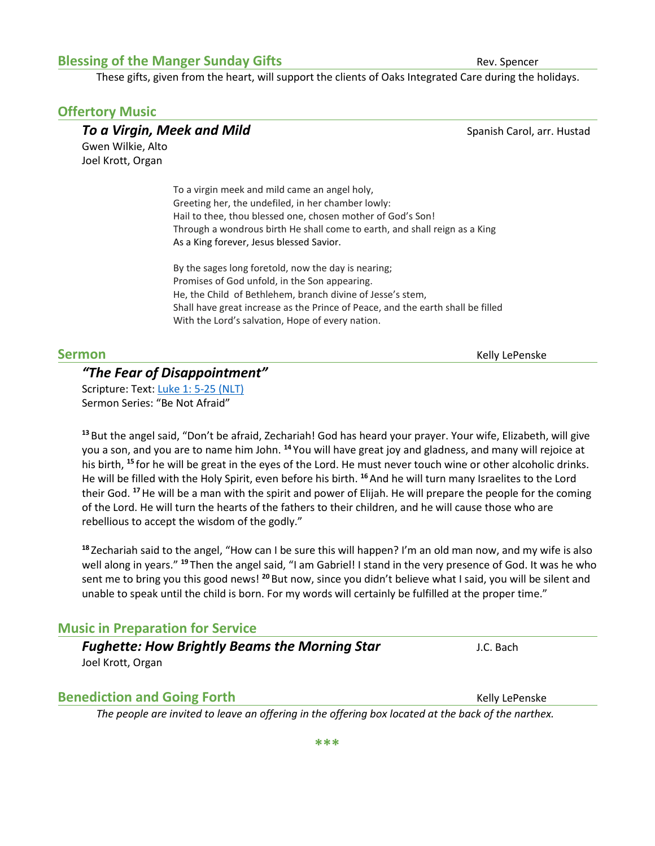#### **Blessing of the Manger Sunday Gifts Rev. Spencer** Rev. Spencer

These gifts, given from the heart, will support the clients of Oaks Integrated Care during the holidays.

#### **Offertory Music**

**To a Virgin, Meek and Mild** Spanish Carol, arr. Hustad Gwen Wilkie, Alto Joel Krott, Organ

> To a virgin meek and mild came an angel holy, Greeting her, the undefiled, in her chamber lowly: Hail to thee, thou blessed one, chosen mother of God's Son! Through a wondrous birth He shall come to earth, and shall reign as a King As a King forever, Jesus blessed Savior.

By the sages long foretold, now the day is nearing; Promises of God unfold, in the Son appearing. He, the Child of Bethlehem, branch divine of Jesse's stem, Shall have great increase as the Prince of Peace, and the earth shall be filled With the Lord's salvation, Hope of every nation.

# *"The Fear of Disappointment"*

Scripture: Text: [Luke 1: 5-25 \(NLT\)](https://www.biblegateway.com/passage/?search=Luke+1%3A+5-25&version=NLT) Sermon Series: "Be Not Afraid"

**<sup>13</sup>** But the angel said, "Don't be afraid, Zechariah! God has heard your prayer. Your wife, Elizabeth, will give you a son, and you are to name him John. **<sup>14</sup>** You will have great joy and gladness, and many will rejoice at his birth, **<sup>15</sup>** for he will be great in the eyes of the Lord. He must never touch wine or other alcoholic drinks. He will be filled with the Holy Spirit, even before his birth. <sup>16</sup> And he will turn many Israelites to the Lord their God. **<sup>17</sup>**He will be a man with the spirit and power of Elijah. He will prepare the people for the coming of the Lord. He will turn the hearts of the fathers to their children, and he will cause those who are rebellious to accept the wisdom of the godly."

**<sup>18</sup>** Zechariah said to the angel, "How can I be sure this will happen? I'm an old man now, and my wife is also well along in years." **<sup>19</sup>** Then the angel said, "I am Gabriel! I stand in the very presence of God. It was he who sent me to bring you this good news! **<sup>20</sup>** But now, since you didn't believe what I said, you will be silent and unable to speak until the child is born. For my words will certainly be fulfilled at the proper time."

## **Music in Preparation for Service**

#### *Fughette: How Brightly Beams the Morning Star* **Fughette: How Brightly Beams the Morning Star** Joel Krott, Organ

## **Benediction and Going Forth** The Community Community Community Religible Penske

*The people are invited to leave an offering in the offering box located at the back of the narthex.* 

**Sermon** Kelly LePenske